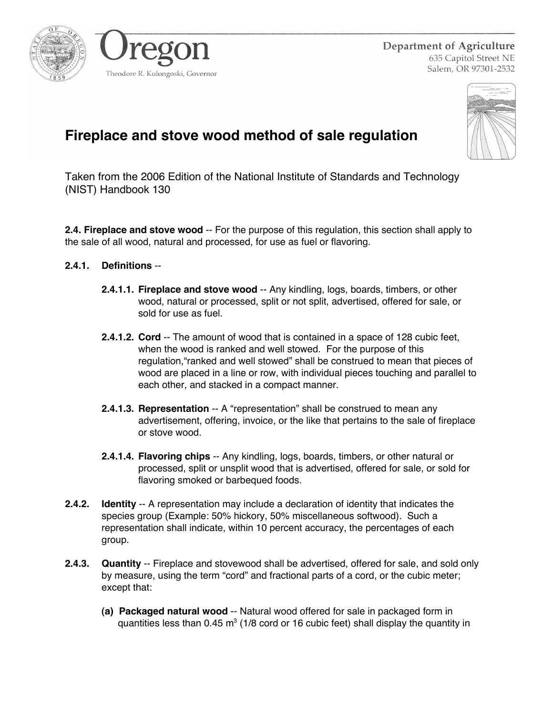



Department of Agriculture 635 Capitol Street NE Salem, OR 97301-2532



## **Fireplace and stove wood method of sale regulation**

Taken from the 2006 Edition of the National Institute of Standards and Technology (NIST) Handbook 130

**2.4. Fireplace and stove wood** -- For the purpose of this regulation, this section shall apply to the sale of all wood, natural and processed, for use as fuel or flavoring.

## **2.4.1. Definitions** --

- **2.4.1.1. Fireplace and stove wood** -- Any kindling, logs, boards, timbers, or other wood, natural or processed, split or not split, advertised, offered for sale, or sold for use as fuel.
- **2.4.1.2. Cord** -- The amount of wood that is contained in a space of 128 cubic feet, when the wood is ranked and well stowed. For the purpose of this regulation,"ranked and well stowed" shall be construed to mean that pieces of wood are placed in a line or row, with individual pieces touching and parallel to each other, and stacked in a compact manner.
- **2.4.1.3. Representation** -- A "representation" shall be construed to mean any advertisement, offering, invoice, or the like that pertains to the sale of fireplace or stove wood.
- **2.4.1.4. Flavoring chips** -- Any kindling, logs, boards, timbers, or other natural or processed, split or unsplit wood that is advertised, offered for sale, or sold for flavoring smoked or barbequed foods.
- **2.4.2. Identity** -- A representation may include a declaration of identity that indicates the species group (Example: 50% hickory, 50% miscellaneous softwood). Such a representation shall indicate, within 10 percent accuracy, the percentages of each group.
- **2.4.3. Quantity** -- Fireplace and stovewood shall be advertised, offered for sale, and sold only by measure, using the term "cord" and fractional parts of a cord, or the cubic meter; except that:
	- **(a) Packaged natural wood** -- Natural wood offered for sale in packaged form in quantities less than 0.45 m<sup>3</sup> (1/8 cord or 16 cubic feet) shall display the quantity in